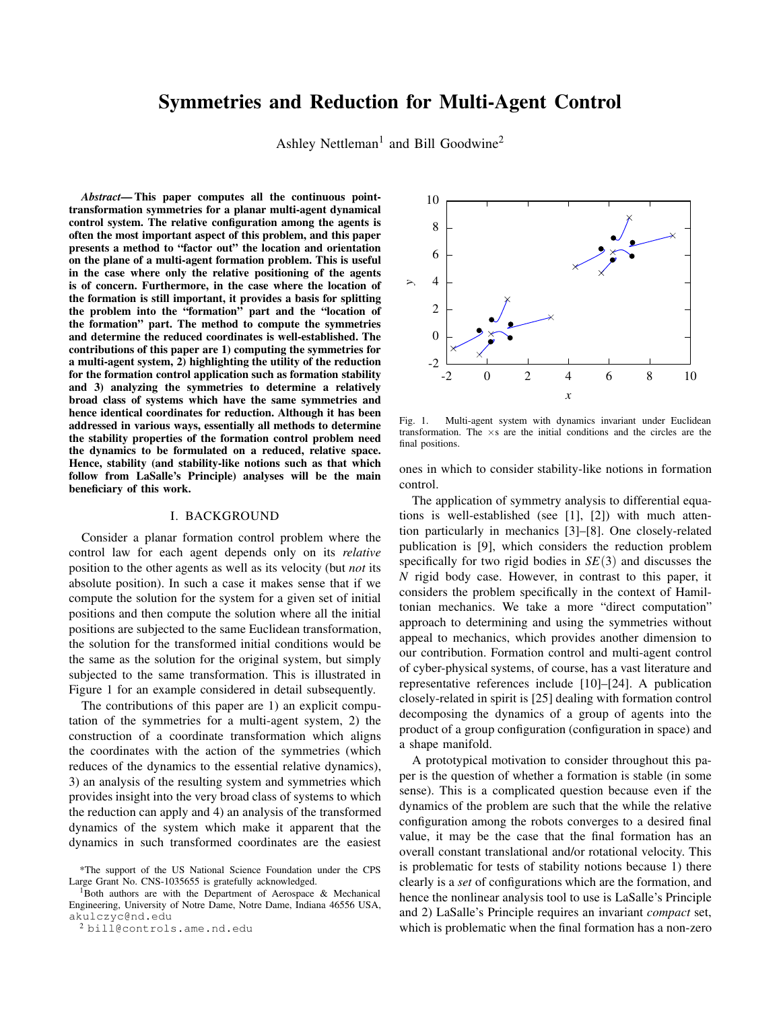# Symmetries and Reduction for Multi-Agent Control

Ashley Nettleman<sup>1</sup> and Bill Goodwine<sup>2</sup>

*Abstract*— This paper computes all the continuous pointtransformation symmetries for a planar multi-agent dynamical control system. The relative configuration among the agents is often the most important aspect of this problem, and this paper presents a method to "factor out" the location and orientation on the plane of a multi-agent formation problem. This is useful in the case where only the relative positioning of the agents is of concern. Furthermore, in the case where the location of the formation is still important, it provides a basis for splitting the problem into the "formation" part and the "location of the formation" part. The method to compute the symmetries and determine the reduced coordinates is well-established. The contributions of this paper are 1) computing the symmetries for a multi-agent system, 2) highlighting the utility of the reduction for the formation control application such as formation stability and 3) analyzing the symmetries to determine a relatively broad class of systems which have the same symmetries and hence identical coordinates for reduction. Although it has been addressed in various ways, essentially all methods to determine the stability properties of the formation control problem need the dynamics to be formulated on a reduced, relative space. Hence, stability (and stability-like notions such as that which follow from LaSalle's Principle) analyses will be the main beneficiary of this work.

#### I. BACKGROUND

Consider a planar formation control problem where the control law for each agent depends only on its *relative* position to the other agents as well as its velocity (but *not* its absolute position). In such a case it makes sense that if we compute the solution for the system for a given set of initial positions and then compute the solution where all the initial positions are subjected to the same Euclidean transformation, the solution for the transformed initial conditions would be the same as the solution for the original system, but simply subjected to the same transformation. This is illustrated in Figure 1 for an example considered in detail subsequently.

The contributions of this paper are 1) an explicit computation of the symmetries for a multi-agent system, 2) the construction of a coordinate transformation which aligns the coordinates with the action of the symmetries (which reduces of the dynamics to the essential relative dynamics), 3) an analysis of the resulting system and symmetries which provides insight into the very broad class of systems to which the reduction can apply and 4) an analysis of the transformed dynamics of the system which make it apparent that the dynamics in such transformed coordinates are the easiest



Fig. 1. Multi-agent system with dynamics invariant under Euclidean transformation. The ×s are the initial conditions and the circles are the final positions.

ones in which to consider stability-like notions in formation control.

The application of symmetry analysis to differential equations is well-established (see [1], [2]) with much attention particularly in mechanics [3]–[8]. One closely-related publication is [9], which considers the reduction problem specifically for two rigid bodies in *SE*(3) and discusses the *N* rigid body case. However, in contrast to this paper, it considers the problem specifically in the context of Hamiltonian mechanics. We take a more "direct computation" approach to determining and using the symmetries without appeal to mechanics, which provides another dimension to our contribution. Formation control and multi-agent control of cyber-physical systems, of course, has a vast literature and representative references include [10]–[24]. A publication closely-related in spirit is [25] dealing with formation control decomposing the dynamics of a group of agents into the product of a group configuration (configuration in space) and a shape manifold.

A prototypical motivation to consider throughout this paper is the question of whether a formation is stable (in some sense). This is a complicated question because even if the dynamics of the problem are such that the while the relative configuration among the robots converges to a desired final value, it may be the case that the final formation has an overall constant translational and/or rotational velocity. This is problematic for tests of stability notions because 1) there clearly is a *set* of configurations which are the formation, and hence the nonlinear analysis tool to use is LaSalle's Principle and 2) LaSalle's Principle requires an invariant *compact* set, which is problematic when the final formation has a non-zero

<sup>\*</sup>The support of the US National Science Foundation under the CPS Large Grant No. CNS-1035655 is gratefully acknowledged.

 $1$ Both authors are with the Department of Aerospace & Mechanical Engineering, University of Notre Dame, Notre Dame, Indiana 46556 USA, akulczyc@nd.edu

<sup>2</sup> bill@controls.ame.nd.edu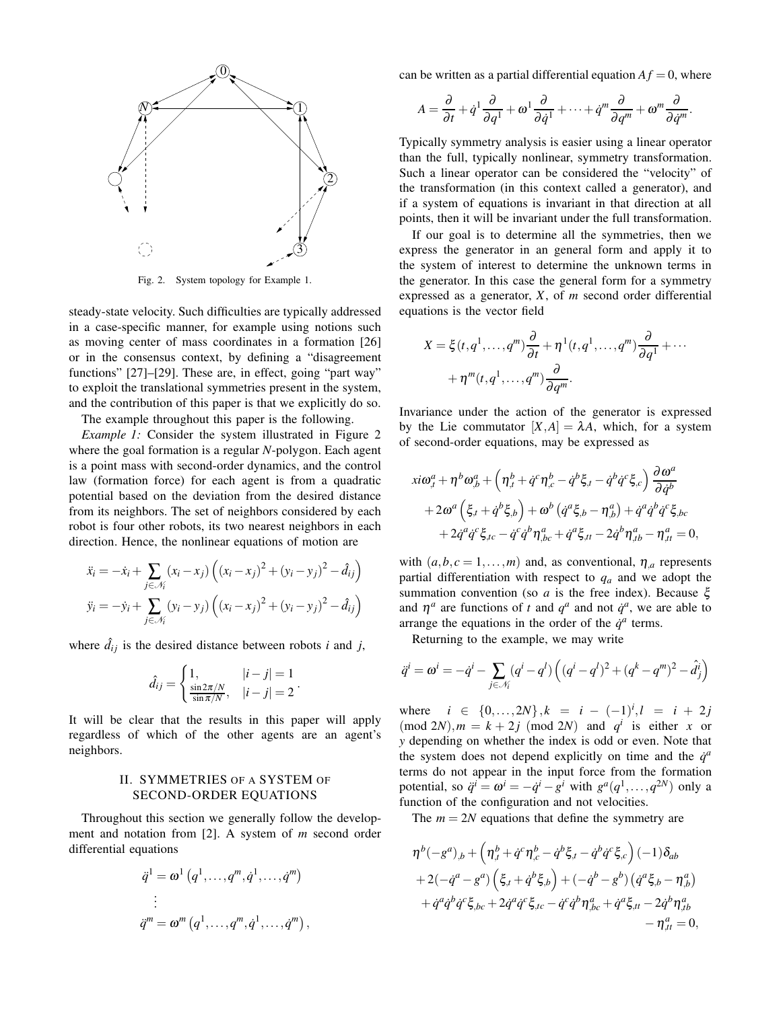

Fig. 2. System topology for Example 1.

steady-state velocity. Such difficulties are typically addressed in a case-specific manner, for example using notions such as moving center of mass coordinates in a formation [26] or in the consensus context, by defining a "disagreement functions" [27]–[29]. These are, in effect, going "part way" to exploit the translational symmetries present in the system, and the contribution of this paper is that we explicitly do so.

The example throughout this paper is the following.

*Example 1:* Consider the system illustrated in Figure 2 where the goal formation is a regular *N*-polygon. Each agent is a point mass with second-order dynamics, and the control law (formation force) for each agent is from a quadratic potential based on the deviation from the desired distance from its neighbors. The set of neighbors considered by each robot is four other robots, its two nearest neighbors in each direction. Hence, the nonlinear equations of motion are

$$
\ddot{x}_i = -\dot{x}_i + \sum_{j \in \mathcal{N}_i} (x_i - x_j) ((x_i - x_j)^2 + (y_i - y_j)^2 - \hat{d}_{ij})
$$
  

$$
\ddot{y}_i = -\dot{y}_i + \sum_{j \in \mathcal{N}_i} (y_i - y_j) ((x_i - x_j)^2 + (y_i - y_j)^2 - \hat{d}_{ij})
$$

where  $\hat{d}_{ij}$  is the desired distance between robots *i* and *j*,

$$
\hat{d}_{ij} = \begin{cases} 1, & |i-j| = 1 \\ \frac{\sin 2\pi/N}{\sin \pi/N}, & |i-j| = 2 \end{cases}.
$$

It will be clear that the results in this paper will apply regardless of which of the other agents are an agent's neighbors.

#### II. SYMMETRIES OF A SYSTEM OF SECOND-ORDER EQUATIONS

Throughout this section we generally follow the development and notation from [2]. A system of *m* second order differential equations

$$
\ddot{q}^1 = \omega^1 (q^1, \dots, q^m, \dot{q}^1, \dots, \dot{q}^m)
$$
\n
$$
\vdots
$$
\n
$$
\ddot{q}^m = \omega^m (q^1, \dots, q^m, \dot{q}^1, \dots, \dot{q}^m),
$$

can be written as a partial differential equation  $Af = 0$ , where

$$
A = \frac{\partial}{\partial t} + \dot{q}^1 \frac{\partial}{\partial q^1} + \omega^1 \frac{\partial}{\partial \dot{q}^1} + \cdots + \dot{q}^m \frac{\partial}{\partial q^m} + \omega^m \frac{\partial}{\partial \dot{q}^m}.
$$

Typically symmetry analysis is easier using a linear operator than the full, typically nonlinear, symmetry transformation. Such a linear operator can be considered the "velocity" of the transformation (in this context called a generator), and if a system of equations is invariant in that direction at all points, then it will be invariant under the full transformation.

If our goal is to determine all the symmetries, then we express the generator in an general form and apply it to the system of interest to determine the unknown terms in the generator. In this case the general form for a symmetry expressed as a generator, *X*, of *m* second order differential equations is the vector field

$$
X = \xi(t, q^1, \dots, q^m) \frac{\partial}{\partial t} + \eta^1(t, q^1, \dots, q^m) \frac{\partial}{\partial q^1} + \dots
$$

$$
+ \eta^m(t, q^1, \dots, q^m) \frac{\partial}{\partial q^m}.
$$

Invariance under the action of the generator is expressed by the Lie commutator  $[X,A] = \lambda A$ , which, for a system of second-order equations, may be expressed as

$$
xi\omega_{,t}^{a} + \eta^{b}\omega_{,b}^{a} + \left(\eta_{,t}^{b} + \dot{q}^{c}\eta_{,c}^{b} - \dot{q}^{b}\xi_{,t} - \dot{q}^{b}\dot{q}^{c}\xi_{,c}\right)\frac{\partial\omega^{a}}{\partial\dot{q}^{b}} + 2\omega^{a}\left(\xi_{,t} + \dot{q}^{b}\xi_{,b}\right) + \omega^{b}\left(\dot{q}^{a}\xi_{,b} - \eta_{,b}^{a}\right) + \dot{q}^{a}\dot{q}^{b}\dot{q}^{c}\xi_{,bc} + 2\dot{q}^{a}\dot{q}^{c}\xi_{,tc} - \dot{q}^{c}\dot{q}^{b}\eta_{,bc}^{a} + \dot{q}^{a}\xi_{,tt} - 2\dot{q}^{b}\eta_{,tb}^{a} - \eta_{,tt}^{a} = 0,
$$

with  $(a, b, c = 1, \ldots, m)$  and, as conventional,  $\eta_{a}$  represents partial differentiation with respect to *q<sup>a</sup>* and we adopt the summation convention (so *a* is the free index). Because ξ and  $\eta^a$  are functions of *t* and  $q^a$  and not  $\dot{q}^a$ , we are able to arrange the equations in the order of the  $\dot{q}^a$  terms.

Returning to the example, we may write

$$
\ddot{q}^i = \omega^i = -\dot{q}^i - \sum_{j \in \mathcal{N}_i} (q^i - q^l) \left( (q^i - q^l)^2 + (q^k - q^m)^2 - \hat{d}^i_j \right)
$$

where  $i \in \{0, ..., 2N\}, k = i - (-1)^i, l = i + 2j$  $(mod 2N)$ ,  $m = k + 2j \pmod{2N}$  and  $q^i$  is either *x* or *y* depending on whether the index is odd or even. Note that the system does not depend explicitly on time and the  $\dot{q}^a$ terms do not appear in the input force from the formation potential, so  $\ddot{q}^i = \omega^i = -\dot{q}^i - g^i$  with  $g^a(q^1, \ldots, q^{2N})$  only a function of the configuration and not velocities.

The  $m = 2N$  equations that define the symmetry are

$$
\eta^{b}(-g^{a})_{,b} + \left(\eta^{b}_{,t} + \dot{q}^{c}\eta^{b}_{,c} - \dot{q}^{b}\xi_{,t} - \dot{q}^{b}\dot{q}^{c}\xi_{,c}\right)(-1)\delta_{ab} \n+ 2(-\dot{q}^{a} - g^{a})\left(\xi_{,t} + \dot{q}^{b}\xi_{,b}\right) + (-\dot{q}^{b} - g^{b})\left(\dot{q}^{a}\xi_{,b} - \eta^{a}_{,b}\right) \n+ \dot{q}^{a}\dot{q}^{b}\dot{q}^{c}\xi_{,bc} + 2\dot{q}^{a}\dot{q}^{c}\xi_{,tc} - \dot{q}^{c}\dot{q}^{b}\eta^{a}_{,bc} + \dot{q}^{a}\xi_{,tt} - 2\dot{q}^{b}\eta^{a}_{,tb} \n- \eta^{a}_{,tt} = 0,
$$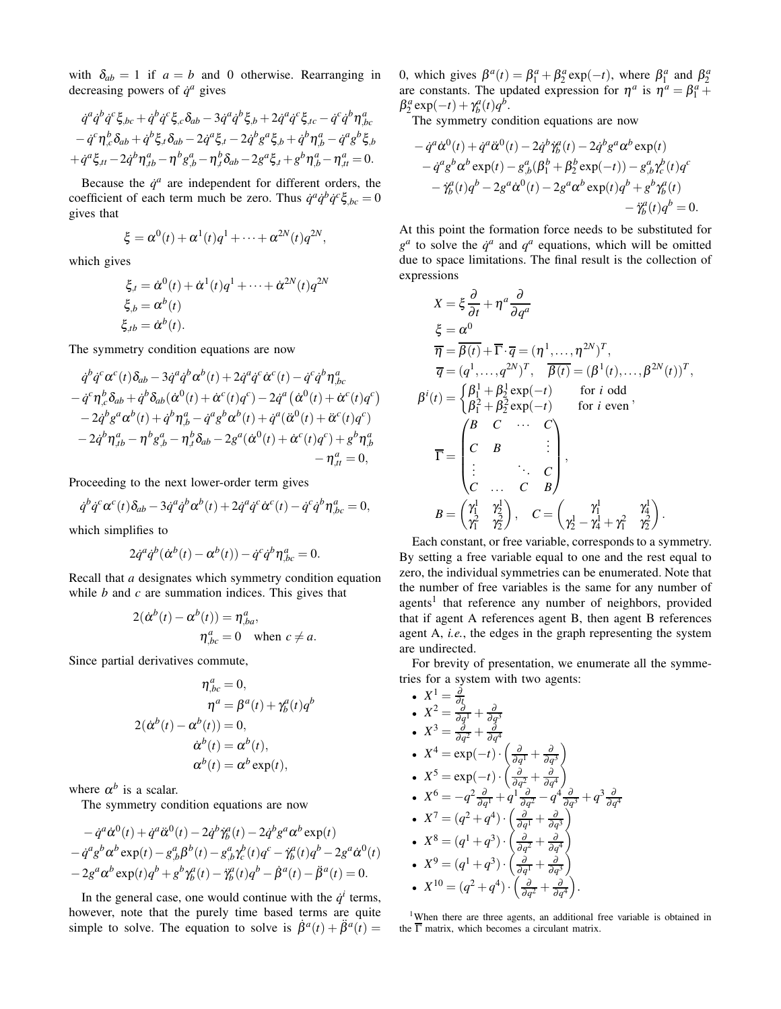with  $\delta_{ab} = 1$  if  $a = b$  and 0 otherwise. Rearranging in decreasing powers of  $\dot{q}^a$  gives

$$
\dot{q}^{a}\dot{q}^{b}\dot{q}^{c}\xi_{,bc} + \dot{q}^{b}\dot{q}^{c}\xi_{,c}\delta_{ab} - 3\dot{q}^{a}\dot{q}^{b}\xi_{,b} + 2\dot{q}^{a}\dot{q}^{c}\xi_{,tc} - \dot{q}^{c}\dot{q}^{b}\eta_{,bc}^{a}
$$

$$
- \dot{q}^{c}\eta_{,c}^{b}\delta_{ab} + \dot{q}^{b}\xi_{,t}\delta_{ab} - 2\dot{q}^{a}\xi_{,t} - 2\dot{q}^{b}g^{a}\xi_{,b} + \dot{q}^{b}\eta_{,b}^{a} - \dot{q}^{a}g^{b}\xi_{,b}
$$

$$
+ \dot{q}^{a}\xi_{,tt} - 2\dot{q}^{b}\eta_{,tb}^{a} - \eta^{b}g_{,b}^{a} - \eta_{,t}^{b}\delta_{ab} - 2g^{a}\xi_{,t} + g^{b}\eta_{,b}^{a} - \eta_{,tt}^{a} = 0.
$$

Because the  $\dot{q}^a$  are independent for different orders, the coefficient of each term much be zero. Thus  $\dot{q}^a \dot{q}^b \dot{q}^c \xi_{,bc} = 0$ gives that

$$
\xi = \alpha^0(t) + \alpha^1(t)q^1 + \cdots + \alpha^{2N}(t)q^{2N},
$$

which gives

$$
\xi_{,t} = \dot{\alpha}^0(t) + \dot{\alpha}^1(t)q^1 + \dots + \dot{\alpha}^{2N}(t)q^{2N}
$$
  
\n
$$
\xi_{,b} = \alpha^b(t)
$$
  
\n
$$
\xi_{,tb} = \dot{\alpha}^b(t).
$$

The symmetry condition equations are now

$$
\dot{q}^b \dot{q}^c \alpha^c(t) \delta_{ab} - 3 \dot{q}^a \dot{q}^b \alpha^b(t) + 2 \dot{q}^a \dot{q}^c \dot{\alpha}^c(t) - \dot{q}^c \dot{q}^b \eta^a_{,bc} \n- \dot{q}^c \eta^b_{,c} \delta_{ab} + \dot{q}^b \delta_{ab} (\dot{\alpha}^0(t) + \dot{\alpha}^c(t)q^c) - 2 \dot{q}^a (\dot{\alpha}^0(t) + \dot{\alpha}^c(t)q^c) \n- 2 \dot{q}^b g^a \alpha^b(t) + \dot{q}^b \eta^a_{,b} - \dot{q}^a g^b \alpha^b(t) + \dot{q}^a (\dot{\alpha}^0(t) + \ddot{\alpha}^c(t)q^c) \n- 2 \dot{q}^b \eta^a_{,tb} - \eta^b g^a_{,b} - \eta^b_{,a} \delta_{ab} - 2 g^a (\dot{\alpha}^0(t) + \dot{\alpha}^c(t)q^c) + g^b \eta^a_{,b} \n- \eta^a_{,tt} = 0,
$$

Proceeding to the next lower-order term gives

$$
\dot{q}^b \dot{q}^c \alpha^c(t) \delta_{ab} - 3 \dot{q}^a \dot{q}^b \alpha^b(t) + 2 \dot{q}^a \dot{q}^c \dot{\alpha}^c(t) - \dot{q}^c \dot{q}^b \eta^a_{,bc} = 0,
$$

which simplifies to

$$
2\dot{q}^a\dot{q}^b(\dot{\alpha}^b(t)-\alpha^b(t))-\dot{q}^c\dot{q}^b\eta^a_{,bc}=0.
$$

Recall that *a* designates which symmetry condition equation while *b* and *c* are summation indices. This gives that

$$
2(\dot{\alpha}^b(t) - \alpha^b(t)) = \eta^a_{,ba},
$$
  
\n
$$
\eta^a_{,bc} = 0 \text{ when } c \neq a.
$$

Since partial derivatives commute,

$$
\eta_{,bc}^a = 0,
$$
  
\n
$$
\eta^a = \beta^a(t) + \gamma_b^a(t)q^b
$$
  
\n
$$
2(\dot{\alpha}^b(t) - \alpha^b(t)) = 0,
$$
  
\n
$$
\dot{\alpha}^b(t) = \alpha^b(t),
$$
  
\n
$$
\alpha^b(t) = \alpha^b \exp(t),
$$

where  $\alpha^b$  is a scalar.

The symmetry condition equations are now

$$
- \dot{q}^a \dot{\alpha}^0(t) + \dot{q}^a \ddot{\alpha}^0(t) - 2\dot{q}^b \ddot{\gamma}_b^a(t) - 2\dot{q}^b g^a \alpha^b \exp(t) - \dot{q}^a g^b \alpha^b \exp(t) - g^a_{,b} \beta^b(t) - g^a_{,b} \gamma^b_c(t) q^c - \ddot{\gamma}^a_b(t) q^b - 2g^a \dot{\alpha}^0(t) - 2g^a \alpha^b \exp(t) q^b + g^b \gamma^a_b(t) - \ddot{\gamma}^a_b(t) q^b - \dot{\beta}^a(t) - \ddot{\beta}^a(t) = 0.
$$

In the general case, one would continue with the  $\dot{q}^i$  terms, however, note that the purely time based terms are quite simple to solve. The equation to solve is  $\dot{\beta}^a(t) + \ddot{\beta}^a(t) =$ 

0, which gives  $\beta^a(t) = \beta^a_1 + \beta^a_2 \exp(-t)$ , where  $\beta^a_1$  and  $\beta^a_2$ are constants. The updated expression for  $\eta^a$  is  $\eta^a = \beta_1^a +$  $\beta_2^a \exp(-t) + \gamma_b^a(t)q^b$ .

The symmetry condition equations are now

$$
- \dot{q}^a \dot{\alpha}^0(t) + \dot{q}^a \ddot{\alpha}^0(t) - 2\dot{q}^b \dot{\gamma}_b^a(t) - 2\dot{q}^b g^a \alpha^b \exp(t)
$$
  
\n
$$
- \dot{q}^a g^b \alpha^b \exp(t) - g^a_{,b} (\beta_1^b + \beta_2^b \exp(-t)) - g^a_{,b} \gamma_c^b(t) q^c
$$
  
\n
$$
- \dot{\gamma}_b^a(t) q^b - 2g^a \dot{\alpha}^0(t) - 2g^a \alpha^b \exp(t) q^b + g^b \gamma_b^a(t)
$$
  
\n
$$
- \ddot{\gamma}_b^a(t) q^b = 0.
$$

At this point the formation force needs to be substituted for  $g^a$  to solve the  $\dot{q}^a$  and  $q^a$  equations, which will be omitted due to space limitations. The final result is the collection of expressions

$$
X = \xi \frac{\partial}{\partial t} + \eta^a \frac{\partial}{\partial q^a}
$$
  
\n
$$
\xi = \alpha^0
$$
  
\n
$$
\overline{\eta} = \overline{\beta(t)} + \overline{\Gamma} \cdot \overline{q} = (\eta^1, \dots, \eta^{2N})^T,
$$
  
\n
$$
\overline{q} = (q^1, \dots, q^{2N})^T, \quad \overline{\beta(t)} = (\beta^1(t), \dots, \beta^{2N}(t))^T,
$$
  
\n
$$
\beta^i(t) = \begin{cases} \beta_1^1 + \beta_2^1 \exp(-t) & \text{for } i \text{ odd} \\ \beta_1^2 + \beta_2^2 \exp(-t) & \text{for } i \text{ even} \end{cases},
$$
  
\n
$$
\overline{\Gamma} = \begin{pmatrix} B & C & \cdots & C \\ C & B & \vdots \\ \vdots & \ddots & C \\ C & \cdots & C & B \end{pmatrix},
$$
  
\n
$$
B = \begin{pmatrix} \gamma_1^1 & \gamma_2^1 \\ \gamma_1^2 & \gamma_2^2 \end{pmatrix}, \quad C = \begin{pmatrix} \gamma_1^1 & \gamma_1^1 \\ \gamma_2^1 - \gamma_4^1 + \gamma_1^2 & \gamma_2^2 \end{pmatrix}.
$$

Each constant, or free variable, corresponds to a symmetry. By setting a free variable equal to one and the rest equal to zero, the individual symmetries can be enumerated. Note that the number of free variables is the same for any number of agents<sup>1</sup> that reference any number of neighbors, provided that if agent A references agent B, then agent B references agent A, *i.e.*, the edges in the graph representing the system are undirected.

For brevity of presentation, we enumerate all the symmetries for a system with two agents:

• 
$$
X^1 = \frac{\partial}{\partial \zeta}
$$
  
\n•  $X^2 = \frac{\partial}{\partial q^1} + \frac{\partial}{\partial q^3}$   
\n•  $X^3 = \frac{\partial}{\partial q^2} + \frac{\partial}{\partial q^4}$   
\n•  $X^4 = \exp(-t) \cdot \left(\frac{\partial}{\partial q^1} + \frac{\partial}{\partial q^3}\right)$   
\n•  $X^5 = \exp(-t) \cdot \left(\frac{\partial}{\partial q^2} + \frac{\partial}{\partial q^4}\right)$   
\n•  $X^6 = -q^2 \frac{\partial}{\partial q^1} + q^1 \frac{\partial}{\partial q^2} - q^4 \frac{\partial}{\partial q^3} + q^3 \frac{\partial}{\partial q^4}$   
\n•  $X^7 = (q^2 + q^4) \cdot \left(\frac{\partial}{\partial q^1} + \frac{\partial}{\partial q^3}\right)$   
\n•  $X^8 = (q^1 + q^3) \cdot \left(\frac{\partial}{\partial q^2} + \frac{\partial}{\partial q^4}\right)$   
\n•  $X^9 = (q^1 + q^3) \cdot \left(\frac{\partial}{\partial q^1} + \frac{\partial}{\partial q^3}\right)$   
\n•  $X^{10} = (q^2 + q^4) \cdot \left(\frac{\partial}{\partial q^2} + \frac{\partial}{\partial q^4}\right)$ .

<sup>1</sup>When there are three agents, an additional free variable is obtained in the  $\overline{\Gamma}$  matrix, which becomes a circulant matrix.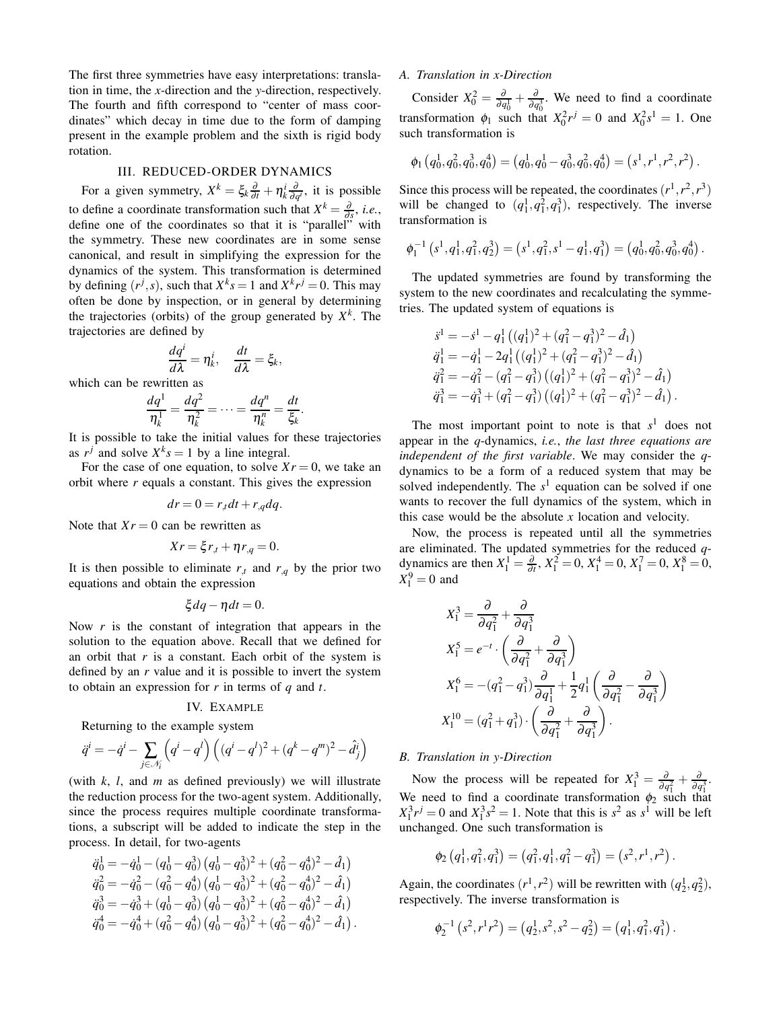The first three symmetries have easy interpretations: translation in time, the *x*-direction and the *y*-direction, respectively. The fourth and fifth correspond to "center of mass coordinates" which decay in time due to the form of damping present in the example problem and the sixth is rigid body rotation.

## III. REDUCED-ORDER DYNAMICS

For a given symmetry,  $X^k = \xi_k \frac{\partial}{\partial t} + \eta_k^i \frac{\partial}{\partial q^i}$ , it is possible to define a coordinate transformation such that  $X^k = \frac{\partial}{\partial s}$ , *i.e.*, define one of the coordinates so that it is "parallel" with the symmetry. These new coordinates are in some sense canonical, and result in simplifying the expression for the dynamics of the system. This transformation is determined by defining  $(r^j, s)$ , such that  $X^k s = 1$  and  $X^k r^j = 0$ . This may often be done by inspection, or in general by determining the trajectories (orbits) of the group generated by  $X<sup>k</sup>$ . The trajectories are defined by

$$
\frac{dq^{i}}{d\lambda} = \eta_{k}^{i}, \quad \frac{dt}{d\lambda} = \xi_{k},
$$

which can be rewritten as

$$
\frac{dq^1}{\eta_k^1} = \frac{dq^2}{\eta_k^2} = \cdots = \frac{dq^n}{\eta_k^n} = \frac{dt}{\xi_k}.
$$

It is possible to take the initial values for these trajectories as  $r^j$  and solve  $X^k s = 1$  by a line integral.

For the case of one equation, to solve  $X_r = 0$ , we take an orbit where *r* equals a constant. This gives the expression

$$
dr = 0 = r_{,t}dt + r_{,q}dq.
$$

Note that  $Xr = 0$  can be rewritten as

$$
Xr = \xi r_{,t} + \eta r_{,q} = 0.
$$

It is then possible to eliminate  $r_t$  and  $r_{\text{q}}$  by the prior two equations and obtain the expression

$$
\xi dq - \eta dt = 0.
$$

Now *r* is the constant of integration that appears in the solution to the equation above. Recall that we defined for an orbit that *r* is a constant. Each orbit of the system is defined by an *r* value and it is possible to invert the system to obtain an expression for *r* in terms of *q* and *t*.

#### IV. EXAMPLE

Returning to the example system

$$
\ddot{q}^i = -\dot{q}^i - \sum_{j \in \mathcal{N}_i} \left( q^i - q^l \right) \left( (q^i - q^l)^2 + (q^k - q^m)^2 - \hat{d}_j^i \right)
$$

(with *k*, *l*, and *m* as defined previously) we will illustrate the reduction process for the two-agent system. Additionally, since the process requires multiple coordinate transformations, a subscript will be added to indicate the step in the process. In detail, for two-agents

$$
\begin{aligned}\n\ddot{q}_0^1 &= -\dot{q}_0^1 - (q_0^1 - q_0^3) (q_0^1 - q_0^3)^2 + (q_0^2 - q_0^4)^2 - \hat{d}_1) \\
\ddot{q}_0^2 &= -\dot{q}_0^2 - (q_0^2 - q_0^4) (q_0^1 - q_0^3)^2 + (q_0^2 - q_0^4)^2 - \hat{d}_1) \\
\ddot{q}_0^3 &= -\dot{q}_0^3 + (q_0^1 - q_0^3) (q_0^1 - q_0^3)^2 + (q_0^2 - q_0^4)^2 - \hat{d}_1) \\
\ddot{q}_0^4 &= -\dot{q}_0^4 + (q_0^2 - q_0^4) (q_0^1 - q_0^3)^2 + (q_0^2 - q_0^4)^2 - \hat{d}_1).\n\end{aligned}
$$

# *A. Translation in x-Direction*

Consider  $X_0^2 = \frac{\partial}{\partial q_0^1} + \frac{\partial}{\partial q_0^3}$ . We need to find a coordinate transformation  $\phi_1$  such that  $X_0^2 r^j = 0$  and  $X_0^2 s^1 = 1$ . One such transformation is

$$
\phi_1(q_0^1,q_0^2,q_0^3,q_0^4)=(q_0^1,q_0^1-q_0^3,q_0^2,q_0^4)=(s^1,r^1,r^2,r^2).
$$

Since this process will be repeated, the coordinates  $(r^1, r^2, r^3)$ will be changed to  $(q_1^1, q_1^2, q_1^3)$ , respectively. The inverse transformation is

$$
\phi_1^{-1}(s^1, q_1^1, q_1^2, q_2^3) = (s^1, q_1^2, s^1 - q_1^1, q_1^3) = (q_0^1, q_0^2, q_0^3, q_0^4).
$$

The updated symmetries are found by transforming the system to the new coordinates and recalculating the symmetries. The updated system of equations is

$$
\begin{aligned}\n\ddot{s}^1 &= -\dot{s}^1 - q_1^1 \left( (q_1^1)^2 + (q_1^2 - q_1^3)^2 - \hat{d}_1 \right) \\
\ddot{q}_1^1 &= -\dot{q}_1^1 - 2q_1^1 \left( (q_1^1)^2 + (q_1^2 - q_1^3)^2 - \hat{d}_1 \right) \\
\ddot{q}_1^2 &= -\dot{q}_1^2 - (q_1^2 - q_1^3) \left( (q_1^1)^2 + (q_1^2 - q_1^3)^2 - \hat{d}_1 \right) \\
\ddot{q}_1^3 &= -\dot{q}_1^3 + (q_1^2 - q_1^3) \left( (q_1^1)^2 + (q_1^2 - q_1^3)^2 - \hat{d}_1 \right).\n\end{aligned}
$$

The most important point to note is that  $s<sup>1</sup>$  does not appear in the *q*-dynamics, *i.e.*, *the last three equations are independent of the first variable*. We may consider the *q*dynamics to be a form of a reduced system that may be solved independently. The  $s<sup>1</sup>$  equation can be solved if one wants to recover the full dynamics of the system, which in this case would be the absolute *x* location and velocity.

Now, the process is repeated until all the symmetries are eliminated. The updated symmetries for the reduced *q*dynamics are then  $X_1^1 = \frac{\partial}{\partial t}$ ,  $X_1^2 = 0$ ,  $X_1^4 = 0$ ,  $X_1^7 = 0$ ,  $X_1^8 = 0$ ,  $X_1^9 = 0$  and

$$
X_1^3 = \frac{\partial}{\partial q_1^2} + \frac{\partial}{\partial q_1^3}
$$
  
\n
$$
X_1^5 = e^{-t} \cdot \left(\frac{\partial}{\partial q_1^2} + \frac{\partial}{\partial q_1^3}\right)
$$
  
\n
$$
X_1^6 = -(q_1^2 - q_1^3) \frac{\partial}{\partial q_1^1} + \frac{1}{2}q_1^1 \left(\frac{\partial}{\partial q_1^2} - \frac{\partial}{\partial q_1^3}\right)
$$
  
\n
$$
X_1^{10} = (q_1^2 + q_1^3) \cdot \left(\frac{\partial}{\partial q_1^2} + \frac{\partial}{\partial q_1^3}\right).
$$

## *B. Translation in y-Direction*

Now the process will be repeated for  $X_1^3 = \frac{\partial}{\partial q}$  $\frac{\partial}{\partial q_1^2} + \frac{\partial}{\partial q}$  $rac{\partial}{\partial q_1^3}$ . We need to find a coordinate transformation  $\phi_2$  such that  $X_1^3 r^j = 0$  and  $X_1^3 s^2 = 1$ . Note that this is  $s^2$  as  $s^1$  will be left unchanged. One such transformation is

$$
\phi_2(q_1^1,q_1^2,q_1^3)=(q_1^2,q_1^1,q_1^2-q_1^3)=(s^2,r^1,r^2).
$$

Again, the coordinates  $(r^1, r^2)$  will be rewritten with  $(q_2^1, q_2^2)$ , respectively. The inverse transformation is

$$
\phi_2^{-1}(s^2, r^1 r^2) = (q_2^1, s^2, s^2 - q_2^2) = (q_1^1, q_1^2, q_1^3).
$$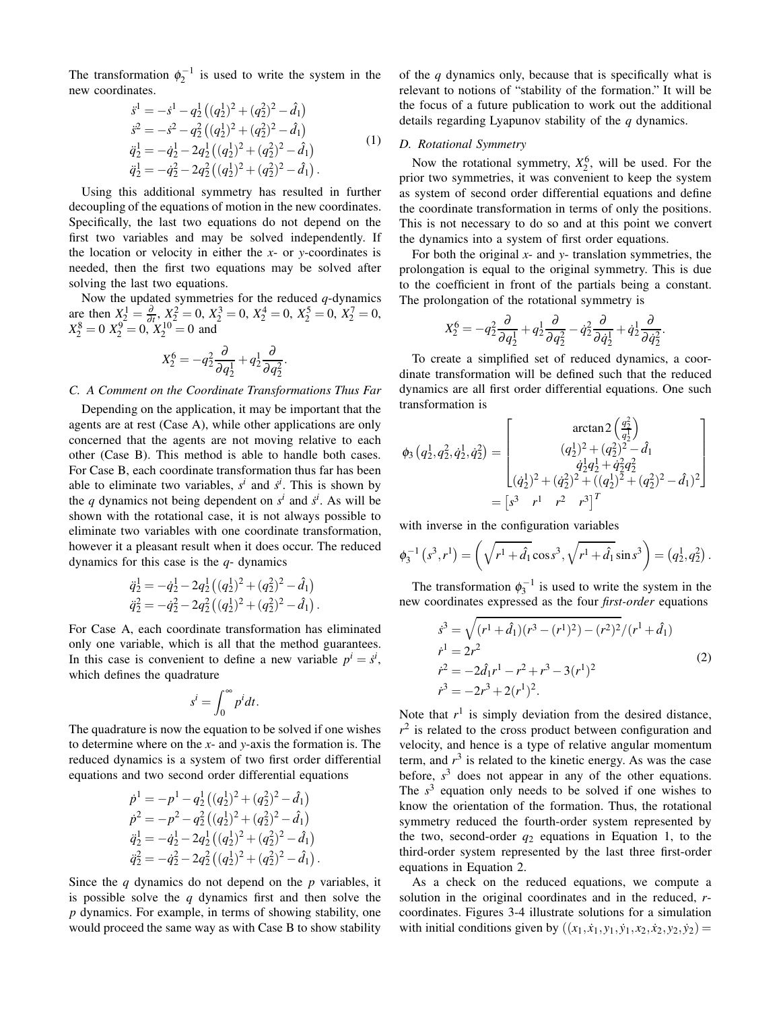The transformation  $\phi_2^{-1}$  is used to write the system in the new coordinates.

$$
\dot{s}^{1} = -\dot{s}^{1} - q_{2}^{1} \left( (q_{2}^{1})^{2} + (q_{2}^{2})^{2} - \hat{d}_{1} \right)
$$
\n
$$
\dot{s}^{2} = -\dot{s}^{2} - q_{2}^{2} \left( (q_{2}^{1})^{2} + (q_{2}^{2})^{2} - \hat{d}_{1} \right)
$$
\n
$$
\ddot{q}_{2}^{1} = -\dot{q}_{2}^{1} - 2q_{2}^{1} \left( (q_{2}^{1})^{2} + (q_{2}^{2})^{2} - \hat{d}_{1} \right)
$$
\n
$$
\ddot{q}_{2}^{1} = -\dot{q}_{2}^{2} - 2q_{2}^{2} \left( (q_{2}^{1})^{2} + (q_{2}^{2})^{2} - \hat{d}_{1} \right).
$$
\n(1)

Using this additional symmetry has resulted in further decoupling of the equations of motion in the new coordinates. Specifically, the last two equations do not depend on the first two variables and may be solved independently. If the location or velocity in either the *x*- or *y*-coordinates is needed, then the first two equations may be solved after solving the last two equations.

Now the updated symmetries for the reduced *q*-dynamics are then  $X_2^1 = \frac{\partial}{\partial t}$ ,  $X_2^2 = 0$ ,  $X_2^3 = 0$ ,  $X_2^4 = 0$ ,  $X_2^5 = 0$ ,  $X_2^7 = 0$ ,  $X_2^8 = 0$   $X_2^9 = 0$ ,  $X_2^{10} = 0$  and

$$
X_2^6 = -q_2^2 \frac{\partial}{\partial q_2^1} + q_2^1 \frac{\partial}{\partial q_2^2}.
$$

## *C. A Comment on the Coordinate Transformations Thus Far*

Depending on the application, it may be important that the agents are at rest (Case A), while other applications are only concerned that the agents are not moving relative to each other (Case B). This method is able to handle both cases. For Case B, each coordinate transformation thus far has been able to eliminate two variables,  $s^i$  and  $\dot{s}^i$ . This is shown by the *q* dynamics not being dependent on  $s^i$  and  $\dot{s}^i$ . As will be shown with the rotational case, it is not always possible to eliminate two variables with one coordinate transformation, however it a pleasant result when it does occur. The reduced dynamics for this case is the *q*- dynamics

$$
\ddot{q}_2^1 = -\dot{q}_2^1 - 2q_2^1((q_2^1)^2 + (q_2^2)^2 - \hat{d}_1) \n\ddot{q}_2^2 = -\dot{q}_2^2 - 2q_2^2((q_2^1)^2 + (q_2^2)^2 - \hat{d}_1).
$$

For Case A, each coordinate transformation has eliminated only one variable, which is all that the method guarantees. In this case is convenient to define a new variable  $p^i = s^i$ , which defines the quadrature

$$
s^i = \int_0^\infty p^i dt.
$$

The quadrature is now the equation to be solved if one wishes to determine where on the *x*- and *y*-axis the formation is. The reduced dynamics is a system of two first order differential equations and two second order differential equations

$$
\begin{aligned}\n\dot{p}^1 &= -p^1 - q_2^1 \left( (q_2^1)^2 + (q_2^2)^2 - \hat{d}_1 \right) \\
\dot{p}^2 &= -p^2 - q_2^2 \left( (q_2^1)^2 + (q_2^2)^2 - \hat{d}_1 \right) \\
\ddot{q}_2^1 &= -\dot{q}_2^1 - 2q_2^1 \left( (q_2^1)^2 + (q_2^2)^2 - \hat{d}_1 \right) \\
\ddot{q}_2^2 &= -\dot{q}_2^2 - 2q_2^2 \left( (q_2^1)^2 + (q_2^2)^2 - \hat{d}_1 \right).\n\end{aligned}
$$

Since the *q* dynamics do not depend on the *p* variables, it is possible solve the *q* dynamics first and then solve the *p* dynamics. For example, in terms of showing stability, one would proceed the same way as with Case B to show stability

of the *q* dynamics only, because that is specifically what is relevant to notions of "stability of the formation." It will be the focus of a future publication to work out the additional details regarding Lyapunov stability of the *q* dynamics.

#### *D. Rotational Symmetry*

Now the rotational symmetry,  $X_2^6$ , will be used. For the prior two symmetries, it was convenient to keep the system as system of second order differential equations and define the coordinate transformation in terms of only the positions. This is not necessary to do so and at this point we convert the dynamics into a system of first order equations.

For both the original *x*- and *y*- translation symmetries, the prolongation is equal to the original symmetry. This is due to the coefficient in front of the partials being a constant. The prolongation of the rotational symmetry is

$$
X_2^6 = -q_2^2 \frac{\partial}{\partial q_2^1} + q_2^1 \frac{\partial}{\partial q_2^2} - \dot{q}_2^2 \frac{\partial}{\partial \dot{q}_2^1} + \dot{q}_2^1 \frac{\partial}{\partial \dot{q}_2^2}.
$$

To create a simplified set of reduced dynamics, a coordinate transformation will be defined such that the reduced dynamics are all first order differential equations. One such transformation is

 $\overline{a}$ 

$$
\phi_3(q_2^1, q_2^2, \dot{q}_2^1, \dot{q}_2^2) = \begin{bmatrix} \arctan 2 \left( \frac{q_2^2}{q_2^1} \right) \\ (q_2^1)^2 + (q_2^2)^2 - \hat{d}_1 \\ \dot{q}_2^1 q_2^1 + \hat{q}_2^2 q_2^2 \\ (\dot{q}_2^1)^2 + (\dot{q}_2^2)^2 + ((q_2^1)^2 + (q_2^2)^2 - \hat{d}_1)^2 \end{bmatrix} = \begin{bmatrix} s^3 & r^1 & r^2 & r^3 \end{bmatrix}^T
$$

with inverse in the configuration variables

$$
\phi_3^{-1}(s^3, r^1) = \left(\sqrt{r^1 + \hat{d}_1} \cos s^3, \sqrt{r^1 + \hat{d}_1} \sin s^3\right) = (q_2^1, q_2^2).
$$

The transformation  $\phi_3^{-1}$  is used to write the system in the new coordinates expressed as the four *first-order* equations

$$
\begin{aligned}\n\dot{s}^3 &= \sqrt{(r^1 + \hat{d}_1)(r^3 - (r^1)^2) - (r^2)^2}/(r^1 + \hat{d}_1) \\
\dot{r}^1 &= 2r^2 \\
\dot{r}^2 &= -2\hat{d}_1r^1 - r^2 + r^3 - 3(r^1)^2 \\
\dot{r}^3 &= -2r^3 + 2(r^1)^2.\n\end{aligned} \tag{2}
$$

Note that  $r<sup>1</sup>$  is simply deviation from the desired distance,  $r<sup>2</sup>$  is related to the cross product between configuration and velocity, and hence is a type of relative angular momentum term, and  $r<sup>3</sup>$  is related to the kinetic energy. As was the case before,  $s<sup>3</sup>$  does not appear in any of the other equations. The  $s<sup>3</sup>$  equation only needs to be solved if one wishes to know the orientation of the formation. Thus, the rotational symmetry reduced the fourth-order system represented by the two, second-order  $q_2$  equations in Equation 1, to the third-order system represented by the last three first-order equations in Equation 2.

As a check on the reduced equations, we compute a solution in the original coordinates and in the reduced, *r*coordinates. Figures 3-4 illustrate solutions for a simulation with initial conditions given by  $((x_1, \dot{x}_1, y_1, \dot{y}_1, x_2, \dot{x}_2, y_2, \dot{y}_2))$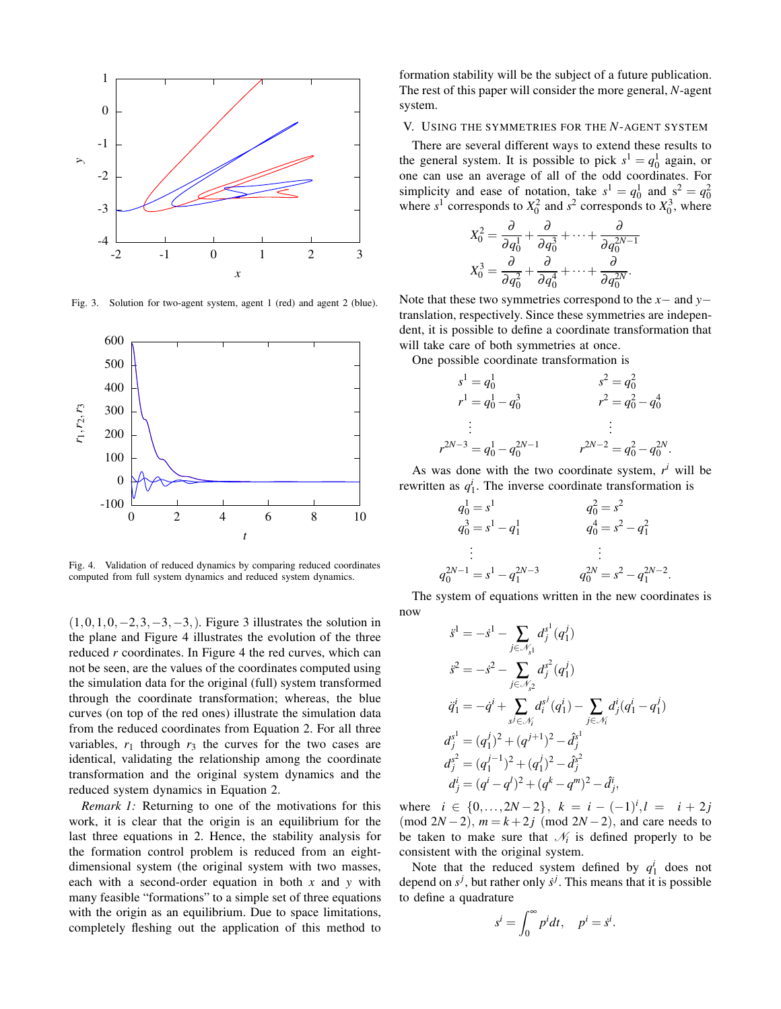

Fig. 3. Solution for two-agent system, agent 1 (red) and agent 2 (blue).



Fig. 4. Validation of reduced dynamics by comparing reduced coordinates computed from full system dynamics and reduced system dynamics.

 $(1,0,1,0,-2,3,-3,-3)$ . Figure 3 illustrates the solution in the plane and Figure 4 illustrates the evolution of the three reduced *r* coordinates. In Figure 4 the red curves, which can not be seen, are the values of the coordinates computed using the simulation data for the original (full) system transformed through the coordinate transformation; whereas, the blue curves (on top of the red ones) illustrate the simulation data from the reduced coordinates from Equation 2. For all three variables,  $r_1$  through  $r_3$  the curves for the two cases are identical, validating the relationship among the coordinate transformation and the original system dynamics and the reduced system dynamics in Equation 2.

*Remark 1:* Returning to one of the motivations for this work, it is clear that the origin is an equilibrium for the last three equations in 2. Hence, the stability analysis for the formation control problem is reduced from an eightdimensional system (the original system with two masses, each with a second-order equation in both *x* and *y* with many feasible "formations" to a simple set of three equations with the origin as an equilibrium. Due to space limitations, completely fleshing out the application of this method to formation stability will be the subject of a future publication. The rest of this paper will consider the more general, *N*-agent system.

## V. USING THE SYMMETRIES FOR THE *N*-AGENT SYSTEM

There are several different ways to extend these results to the general system. It is possible to pick  $s^1 = q_0^1$  again, or one can use an average of all of the odd coordinates. For simplicity and ease of notation, take  $s^1 = q_0^1$  and  $s^2 = q_0^2$ <br>where  $s^1$  corresponds to  $X_0^2$  and  $s^2$  corresponds to  $X_0^3$ , where

$$
X_0^2 = \frac{\partial}{\partial q_0^1} + \frac{\partial}{\partial q_0^3} + \dots + \frac{\partial}{\partial q_0^{2N-1}}
$$

$$
X_0^3 = \frac{\partial}{\partial q_0^2} + \frac{\partial}{\partial q_0^4} + \dots + \frac{\partial}{\partial q_0^{2N}}.
$$

Note that these two symmetries correspond to the *x*− and *y*− translation, respectively. Since these symmetries are independent, it is possible to define a coordinate transformation that will take care of both symmetries at once.

One possible coordinate transformation is

$$
s1 = q01 \nr1 = q01 - q03 \n\vdots \nr2N-3 = q01 - q02N-1 \nr2N-2 = q02 - q02N.
$$

As was done with the two coordinate system,  $r^i$  will be rewritten as  $q_1^i$ . The inverse coordinate transformation is

$$
q_0^1 = s^1
$$
  
\n
$$
q_0^2 = s^2
$$
  
\n
$$
q_0^3 = s^1 - q_1^1
$$
  
\n
$$
\vdots
$$
  
\n
$$
q_0^{2N-1} = s^1 - q_1^{2N-3}
$$
  
\n
$$
q_0^{2N} = s^2 - q_1^{2N-2}
$$

The system of equations written in the new coordinates is now

$$
\begin{aligned}\n\ddot{s}^1 &= -\dot{s}^1 - \sum_{j \in \mathcal{N}_s} d_j^{s^1}(q_1^j) \\
\dot{s}^2 &= -\dot{s}^2 - \sum_{j \in \mathcal{N}_s} d_j^{s^2}(q_1^j) \\
\ddot{q}_1^i &= -\dot{q}^i + \sum_{s^j \in \mathcal{N}_i} d_i^{s^j}(q_1^i) - \sum_{j \in \mathcal{N}_i} d_j^i(q_1^i - q_1^j) \\
d_j^{s^1} &= (q_1^j)^2 + (q^{j+1})^2 - \hat{d}_j^{s^1} \\
d_j^{s^2} &= (q_1^{j-1})^2 + (q_1^j)^2 - \hat{d}_j^{s^2} \\
d_j^i &= (q^i - q^i)^2 + (q^k - q^m)^2 - \hat{d}_j^i,\n\end{aligned}
$$

where  $i \in \{0, ..., 2N-2\}, k = i - (-1)^i, l = i + 2j$ (mod  $2N - 2$ ),  $m = k + 2j \pmod{2N - 2}$ , and care needs to be taken to make sure that  $\mathcal{N}_i$  is defined properly to be consistent with the original system.

Note that the reduced system defined by  $q_1^i$  does not depend on  $s^j$ , but rather only  $\dot{s}^j$ . This means that it is possible to define a quadrature

$$
s^i = \int_0^\infty p^i dt, \quad p^i = s^i.
$$